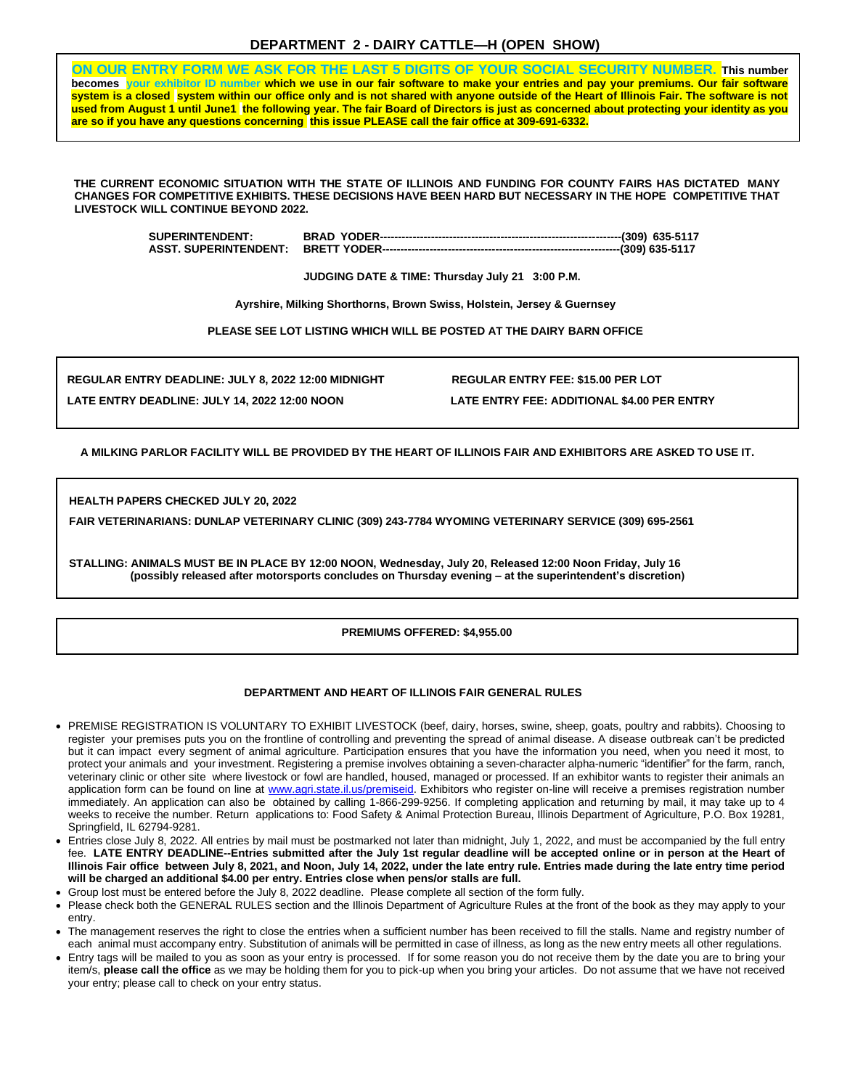# **DEPARTMENT 2 - DAIRY CATTLE—H (OPEN SHOW)**

**ON OUR ENTRY FORM WE ASK FOR THE LAST 5 DIGITS OF YOUR SOCIAL SECURITY NUMBER. This number becomes your exhibitor ID number which we use in our fair software to make your entries and pay your premiums. Our fair software system is a closed system within our office only and is not shared with anyone outside of the Heart of Illinois Fair. The software is not used from August 1 until June1 the following year. The fair Board of Directors is just as concerned about protecting your identity as you are so if you have any questions concerning this issue PLEASE call the fair office at 309-691-6332.**

**THE CURRENT ECONOMIC SITUATION WITH THE STATE OF ILLINOIS AND FUNDING FOR COUNTY FAIRS HAS DICTATED MANY CHANGES FOR COMPETITIVE EXHIBITS. THESE DECISIONS HAVE BEEN HARD BUT NECESSARY IN THE HOPE COMPETITIVE THAT LIVESTOCK WILL CONTINUE BEYOND 2022.**

| <b>SUPERINTENDENT:</b> |  |
|------------------------|--|
|                        |  |

**JUDGING DATE & TIME: Thursday July 21 3:00 P.M.**

**Ayrshire, Milking Shorthorns, Brown Swiss, Holstein, Jersey & Guernsey**

**PLEASE SEE LOT LISTING WHICH WILL BE POSTED AT THE DAIRY BARN OFFICE**

**REGULAR ENTRY DEADLINE: JULY 8, 2022 12:00 MIDNIGHT REGULAR ENTRY FEE: \$15.00 PER LOT LATE ENTRY DEADLINE: JULY 14, 2022 12:00 NOON LATE ENTRY FEE: ADDITIONAL \$4.00 PER ENTRY**

**A MILKING PARLOR FACILITY WILL BE PROVIDED BY THE HEART OF ILLINOIS FAIR AND EXHIBITORS ARE ASKED TO USE IT.**

**HEALTH PAPERS CHECKED JULY 20, 2022** 

**FAIR VETERINARIANS: DUNLAP VETERINARY CLINIC (309) 243-7784 WYOMING VETERINARY SERVICE (309) 695-2561**

**STALLING: ANIMALS MUST BE IN PLACE BY 12:00 NOON, Wednesday, July 20, Released 12:00 Noon Friday, July 16 . (possibly released after motorsports concludes on Thursday evening – at the superintendent's discretion)**

### **PREMIUMS OFFERED: \$4,955.00**

### **DEPARTMENT AND HEART OF ILLINOIS FAIR GENERAL RULES**

- PREMISE REGISTRATION IS VOLUNTARY TO EXHIBIT LIVESTOCK (beef, dairy, horses, swine, sheep, goats, poultry and rabbits). Choosing to register your premises puts you on the frontline of controlling and preventing the spread of animal disease. A disease outbreak can't be predicted but it can impact every segment of animal agriculture. Participation ensures that you have the information you need, when you need it most, to protect your animals and your investment. Registering a premise involves obtaining a seven-character alpha-numeric "identifier" for the farm, ranch, veterinary clinic or other site where livestock or fowl are handled, housed, managed or processed. If an exhibitor wants to register their animals an application form can be found on line at www.agri.state.il.us/premiseid. Exhibitors who register on-line will receive a premises registration number immediately. An application can also be obtained by calling 1-866-299-9256. If completing application and returning by mail, it may take up to 4 weeks to receive the number. Return applications to: Food Safety & Animal Protection Bureau, Illinois Department of Agriculture, P.O. Box 19281, Springfield, IL 62794-9281.
- Entries close July 8, 2022. All entries by mail must be postmarked not later than midnight, July 1, 2022, and must be accompanied by the full entry fee. **LATE ENTRY DEADLINE--Entries submitted after the July 1st regular deadline will be accepted online or in person at the Heart of Illinois Fair office between July 8, 2021, and Noon, July 14, 2022, under the late entry rule. Entries made during the late entry time period will be charged an additional \$4.00 per entry. Entries close when pens/or stalls are full.**
- Group lost must be entered before the July 8, 2022 deadline. Please complete all section of the form fully.
- Please check both the GENERAL RULES section and the Illinois Department of Agriculture Rules at the front of the book as they may apply to your entry.
- The management reserves the right to close the entries when a sufficient number has been received to fill the stalls. Name and registry number of each animal must accompany entry. Substitution of animals will be permitted in case of illness, as long as the new entry meets all other regulations.
- Entry tags will be mailed to you as soon as your entry is processed. If for some reason you do not receive them by the date you are to bring your item/s, **please call the office** as we may be holding them for you to pick-up when you bring your articles. Do not assume that we have not received your entry; please call to check on your entry status.